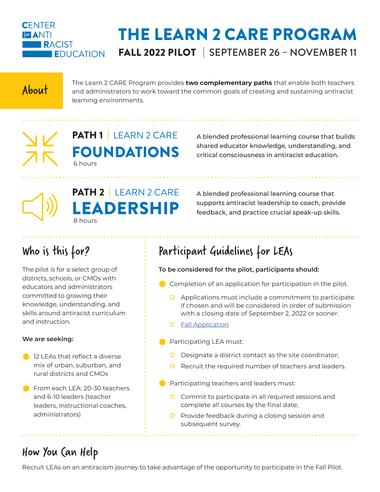

# THE LEARN 2 CARE PROGRAM FALL 2022 PILOT | SEPTEMBER 26 – NOVEMBER 11

The Learn 2 CARE Program provides **two complementary paths** that enable both teachers<br>and administrators to work toward the common goals of creating and sustaining antiracist learning environments.

PATH 1 LEARN 2 CARE FOUNDATIONS 6 hours

A blended professional learning course that builds shared educator knowledge, understanding, and critical consciousness in antiracist education.



A blended professional learning course that supports antiracist leadership to coach, provide feedback, and practice crucial speak-up skills.

# Who is this for?

The pilot is for a select group of districts, schools, or CMOs with educators and administrators committed to growing their knowledge, understanding, and skills around antiracist curriculum and instruction.

#### **We are seeking:**

- **2** 12 LEAs that reflect a diverse mix of urban, suburban, and rural districts and CMOs
- From each LEA: 20-30 teachers and 6-10 leaders (teacher leaders, instructional coaches, administrators)

# Participant Guidelines for LEAs

#### **To be considered for the pilot, participants should:**

- $\bullet$  Completion of an application for participation in the pilot.
	- O Applications must include a commitment to participate if chosen and will be considered in order of submission with a closing date of September 2, 2022 or sooner.
	- **O** [Fall Application](https://forms.gle/Y3tDyTkqWzo3WERB9)
- **Participating LEA must:** 
	- O Designate a district contact as the site coordinator;
	- O Recruit the required number of teachers and leaders.
- $\bullet$  Participating teachers and leaders must:
	- **O** Commit to participate in all required sessions and complete all courses by the final date;

. . . . . . . . . . . . . . . .

O Provide feedback during a closing session and subsequent survey.

## How You Can Help

Recruit LEAs on an antiracism journey to take advantage of the opportunity to participate in the Fall Pilot.